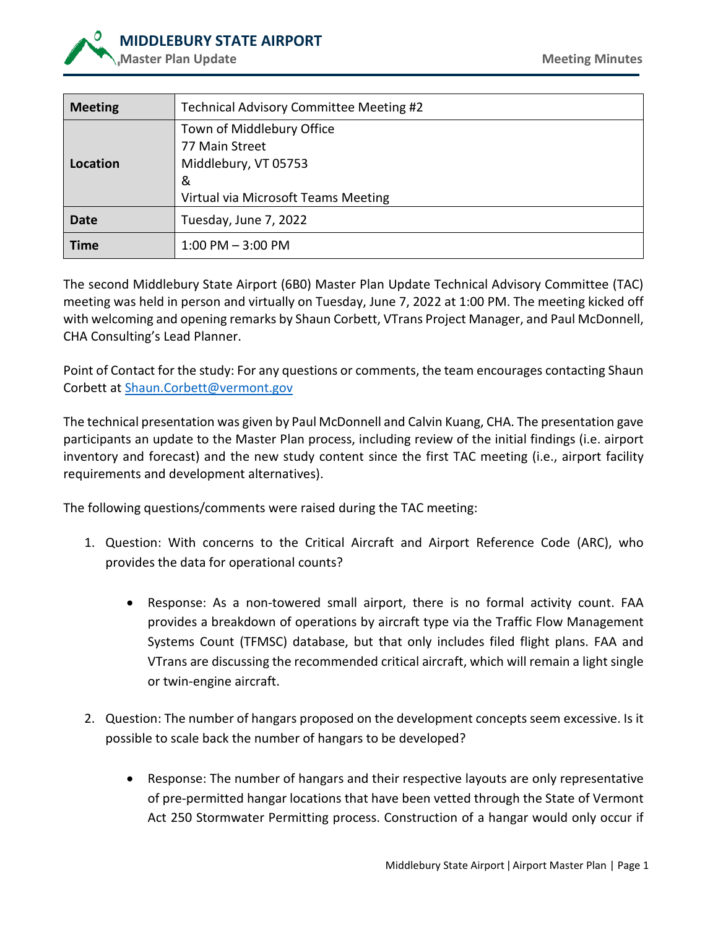

| <b>Meeting</b> | Technical Advisory Committee Meeting #2 |
|----------------|-----------------------------------------|
|                | Town of Middlebury Office               |
|                | 77 Main Street                          |
| Location       | Middlebury, VT 05753                    |
|                | &                                       |
|                | Virtual via Microsoft Teams Meeting     |
| Date           | Tuesday, June 7, 2022                   |
| <b>Time</b>    | $1:00$ PM $-3:00$ PM                    |

The second Middlebury State Airport (6B0) Master Plan Update Technical Advisory Committee (TAC) meeting was held in person and virtually on Tuesday, June 7, 2022 at 1:00 PM. The meeting kicked off with welcoming and opening remarks by Shaun Corbett, VTrans Project Manager, and Paul McDonnell, CHA Consulting's Lead Planner.

Point of Contact for the study: For any questions or comments, the team encourages contacting Shaun Corbett at [Shaun.Corbett@vermont.gov](mailto:Shaun.Corbett@vermont.gov)

The technical presentation was given by Paul McDonnell and Calvin Kuang, CHA. The presentation gave participants an update to the Master Plan process, including review of the initial findings (i.e. airport inventory and forecast) and the new study content since the first TAC meeting (i.e., airport facility requirements and development alternatives).

The following questions/comments were raised during the TAC meeting:

- 1. Question: With concerns to the Critical Aircraft and Airport Reference Code (ARC), who provides the data for operational counts?
	- Response: As a non-towered small airport, there is no formal activity count. FAA provides a breakdown of operations by aircraft type via the Traffic Flow Management Systems Count (TFMSC) database, but that only includes filed flight plans. FAA and VTrans are discussing the recommended critical aircraft, which will remain a light single or twin-engine aircraft.
- 2. Question: The number of hangars proposed on the development concepts seem excessive. Is it possible to scale back the number of hangars to be developed?
	- Response: The number of hangars and their respective layouts are only representative of pre-permitted hangar locations that have been vetted through the State of Vermont Act 250 Stormwater Permitting process. Construction of a hangar would only occur if